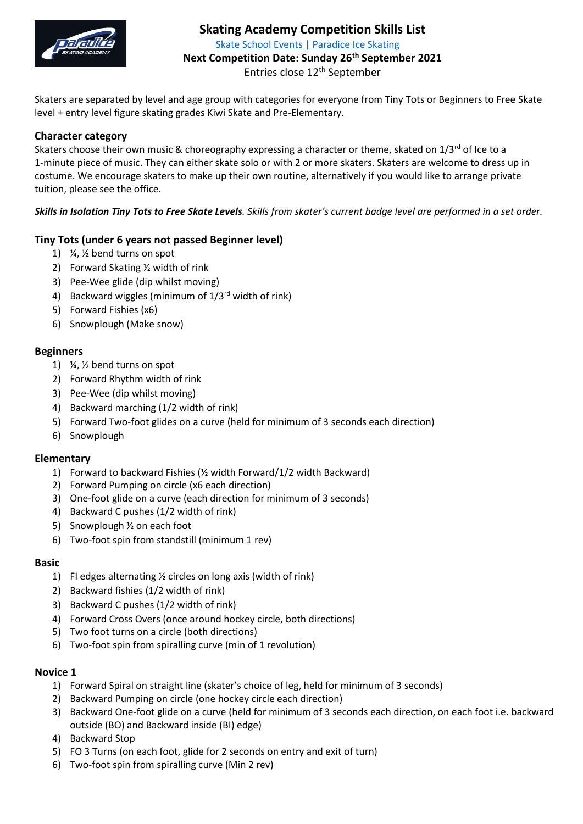

# **Skating Academy Competition Skills List**

[Skate School Events | Paradice Ice Skating](https://www.paradice.co.nz/learn-to-skate/events/)

**Next Competition Date: Sunday 26th September 2021**

Entries close 12<sup>th</sup> September

Skaters are separated by level and age group with categories for everyone from Tiny Tots or Beginners to Free Skate level + entry level figure skating grades Kiwi Skate and Pre-Elementary.

## **Character category**

Skaters choose their own music & choreography expressing a character or theme, skated on  $1/3^{rd}$  of Ice to a 1-minute piece of music. They can either skate solo or with 2 or more skaters. Skaters are welcome to dress up in costume. We encourage skaters to make up their own routine, alternatively if you would like to arrange private tuition, please see the office.

*Skills in Isolation Tiny Tots to Free Skate Levels. Skills from skater's current badge level are performed in a set order.*

## **Tiny Tots (under 6 years not passed Beginner level)**

- 1) ¼, ½ bend turns on spot
- 2) Forward Skating ½ width of rink
- 3) Pee-Wee glide (dip whilst moving)
- 4) Backward wiggles (minimum of  $1/3^{rd}$  width of rink)
- 5) Forward Fishies (x6)
- 6) Snowplough (Make snow)

## **Beginners**

- 1) ¼, ½ bend turns on spot
- 2) Forward Rhythm width of rink
- 3) Pee-Wee (dip whilst moving)
- 4) Backward marching (1/2 width of rink)
- 5) Forward Two-foot glides on a curve (held for minimum of 3 seconds each direction)
- 6) Snowplough

## **Elementary**

- 1) Forward to backward Fishies (½ width Forward/1/2 width Backward)
- 2) Forward Pumping on circle (x6 each direction)
- 3) One-foot glide on a curve (each direction for minimum of 3 seconds)
- 4) Backward C pushes (1/2 width of rink)
- 5) Snowplough ½ on each foot
- 6) Two-foot spin from standstill (minimum 1 rev)

## **Basic**

- 1) FI edges alternating ½ circles on long axis (width of rink)
- 2) Backward fishies (1/2 width of rink)
- 3) Backward C pushes (1/2 width of rink)
- 4) Forward Cross Overs (once around hockey circle, both directions)
- 5) Two foot turns on a circle (both directions)
- 6) Two-foot spin from spiralling curve (min of 1 revolution)

## **Novice 1**

- 1) Forward Spiral on straight line (skater's choice of leg, held for minimum of 3 seconds)
- 2) Backward Pumping on circle (one hockey circle each direction)
- 3) Backward One-foot glide on a curve (held for minimum of 3 seconds each direction, on each foot i.e. backward outside (BO) and Backward inside (BI) edge)
- 4) Backward Stop
- 5) FO 3 Turns (on each foot, glide for 2 seconds on entry and exit of turn)
- 6) Two-foot spin from spiralling curve (Min 2 rev)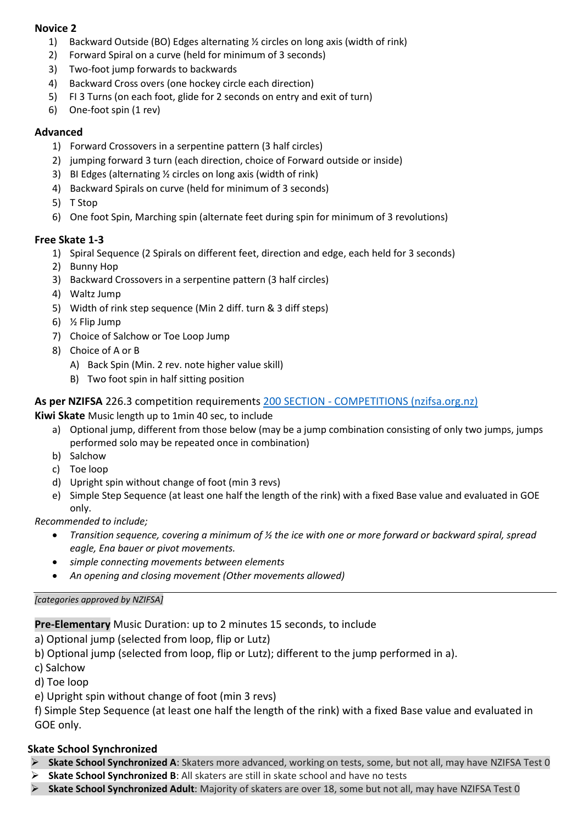## **Novice 2**

- 1) Backward Outside (BO) Edges alternating ½ circles on long axis (width of rink)
- 2) Forward Spiral on a curve (held for minimum of 3 seconds)
- 3) Two-foot jump forwards to backwards
- 4) Backward Cross overs (one hockey circle each direction)
- 5) FI 3 Turns (on each foot, glide for 2 seconds on entry and exit of turn)
- 6) One-foot spin (1 rev)

## **Advanced**

- 1) Forward Crossovers in a serpentine pattern (3 half circles)
- 2) jumping forward 3 turn (each direction, choice of Forward outside or inside)
- 3) BI Edges (alternating ½ circles on long axis (width of rink)
- 4) Backward Spirals on curve (held for minimum of 3 seconds)
- 5) T Stop
- 6) One foot Spin, Marching spin (alternate feet during spin for minimum of 3 revolutions)

# **Free Skate 1-3**

- 1) Spiral Sequence (2 Spirals on different feet, direction and edge, each held for 3 seconds)
- 2) Bunny Hop
- 3) Backward Crossovers in a serpentine pattern (3 half circles)
- 4) Waltz Jump
- 5) Width of rink step sequence (Min 2 diff. turn & 3 diff steps)
- 6) ½ Flip Jump
- 7) Choice of Salchow or Toe Loop Jump
- 8) Choice of A or B
	- A) Back Spin (Min. 2 rev. note higher value skill)
	- B) Two foot spin in half sitting position

## **As per NZIFSA** 226.3 competition requirements 200 SECTION - [COMPETITIONS \(nzifsa.org.nz\)](https://www.nzifsa.org.nz/rules/2021%20Rules%20&%20Regulations%20200%20Section%20V2.pdf)

**Kiwi Skate** Music length up to 1min 40 sec, to include

- a) Optional jump, different from those below (may be a jump combination consisting of only two jumps, jumps performed solo may be repeated once in combination)
- b) Salchow
- c) Toe loop
- d) Upright spin without change of foot (min 3 revs)
- e) Simple Step Sequence (at least one half the length of the rink) with a fixed Base value and evaluated in GOE only.

*Recommended to include;*

- *Transition sequence, covering a minimum of ½ the ice with one or more forward or backward spiral, spread eagle, Ena bauer or pivot movements.*
- *simple connecting movements between elements*
- *An opening and closing movement (Other movements allowed)*

## *[categories approved by NZIFSA]*

**Pre-Elementary** Music Duration: up to 2 minutes 15 seconds, to include

a) Optional jump (selected from loop, flip or Lutz)

b) Optional jump (selected from loop, flip or Lutz); different to the jump performed in a).

c) Salchow

d) Toe loop

e) Upright spin without change of foot (min 3 revs)

f) Simple Step Sequence (at least one half the length of the rink) with a fixed Base value and evaluated in GOE only.

# **Skate School Synchronized**

- ➢ **Skate School Synchronized A**: Skaters more advanced, working on tests, some, but not all, may have NZIFSA Test 0
- ➢ **Skate School Synchronized B**: All skaters are still in skate school and have no tests
- ➢ **Skate School Synchronized Adult**: Majority of skaters are over 18, some but not all, may have NZIFSA Test 0